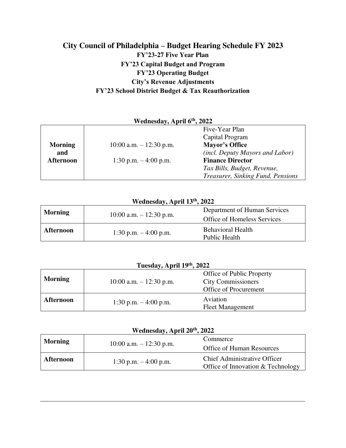### **City Council of Philadelphia – Budget Hearing Schedule FY 2023 FY'23-27 Five Year Plan FY'23 Capital Budget and Program FY'23 Operating Budget City's Revenue Adjustments FY'23 School District Budget & Tax Reauthorization**

| $, , ,$ can complete $, , ,$ in primers $\sigma$ |                            |                                        |
|--------------------------------------------------|----------------------------|----------------------------------------|
|                                                  |                            | Five-Year Plan                         |
|                                                  |                            | Capital Program                        |
| <b>Morning</b>                                   | $10:00$ a.m. $-12:30$ p.m. | Mayor's Office                         |
| and                                              |                            | <i>(incl. Deputy Mayors and Labor)</i> |
| Afternoon                                        | 1:30 p.m. $-4:00$ p.m.     | <b>Finance Director</b>                |
|                                                  |                            | Tax Bills, Budget, Revenue,            |
|                                                  |                            | Treasurer, Sinking Fund, Pensions      |

#### **Wednesday, April 6th, 2022**

### **Wednesday, April 13th, 2022**

| <b>Morning</b>   | 10:00 a.m. $- 12:30$ p.m. | Department of Human Services<br>Office of Homeless Services |
|------------------|---------------------------|-------------------------------------------------------------|
| <b>Afternoon</b> | 1:30 p.m. $-4:00$ p.m.    | <b>Behavioral Health</b><br>Public Health                   |

| Tuesday, April 19th, 2022 |                           |                                     |
|---------------------------|---------------------------|-------------------------------------|
|                           |                           | Office of Public Property           |
| <b>Morning</b>            | 10:00 a.m. $- 12:30$ p.m. | <b>City Commissioners</b>           |
|                           |                           | Office of Procurement               |
| <b>Afternoon</b>          | 1:30 p.m. $-4:00$ p.m.    | Aviation<br><b>Fleet Management</b> |

| Wednesday, April 20 <sup>th</sup> , 2022 |                           |                                                                          |
|------------------------------------------|---------------------------|--------------------------------------------------------------------------|
| <b>Morning</b>                           |                           | Commerce                                                                 |
|                                          | 10:00 a.m. $-$ 12:30 p.m. | <b>Office of Human Resources</b>                                         |
| <b>Afternoon</b>                         | 1:30 p.m. $-4:00$ p.m.    | <b>Chief Administrative Officer</b><br>Office of Innovation & Technology |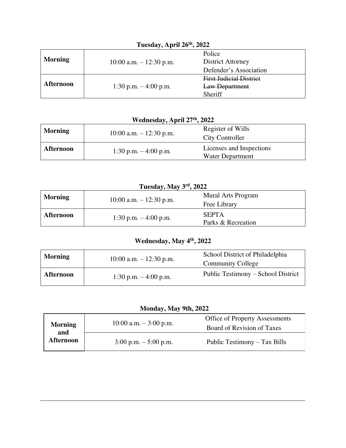|                  | $= 0.00000, 0.000000, 0.00000, 0.0000$ |                                |  |
|------------------|----------------------------------------|--------------------------------|--|
|                  |                                        | Police                         |  |
| <b>Morning</b>   | 10:00 a.m. $- 12:30$ p.m.              | <b>District Attorney</b>       |  |
|                  |                                        | Defender's Association         |  |
|                  |                                        | <b>First Judicial District</b> |  |
| <b>Afternoon</b> | 1:30 p.m. $-4:00$ p.m.                 | Law Department                 |  |
|                  |                                        | Sheriff                        |  |

### **Tuesday, April 26th, 2022**

**Wednesday, April 27th, 2022** 

| <b>Morning</b>   | 10:00 a.m. $-$ 12:30 p.m. | Register of Wills<br><b>City Controller</b>         |
|------------------|---------------------------|-----------------------------------------------------|
| <b>Afternoon</b> | 1:30 p.m. $-4:00$ p.m.    | Licenses and Inspections<br><b>Water Department</b> |

| Tuesday, May 3rd, 2022 |                           |                                    |
|------------------------|---------------------------|------------------------------------|
| <b>Morning</b>         | 10:00 a.m. $-$ 12:30 p.m. | <b>Mural Arts Program</b>          |
|                        |                           | Free Library                       |
| <b>Afternoon</b>       | 1:30 p.m. $-4:00$ p.m.    | <b>SEPTA</b><br>Parks & Recreation |

## **Wednesday, May 4th, 2022**

| <b>Morning</b>   | 10:00 a.m. $- 12:30$ p.m. | School District of Philadelphia<br><b>Community College</b> |
|------------------|---------------------------|-------------------------------------------------------------|
| <b>Afternoon</b> | 1:30 p.m. $-4:00$ p.m.    | Public Testimony – School District                          |

### **Monday, May 9th, 2022**

| <b>Morning</b><br>and | 10:00 a.m. $-3:00$ p.m.                 | <b>Office of Property Assessments</b><br>Board of Revision of Taxes |
|-----------------------|-----------------------------------------|---------------------------------------------------------------------|
| Afternoon             | $3:00 \text{ p.m.} - 5:00 \text{ p.m.}$ | Public Testimony - Tax Bills                                        |